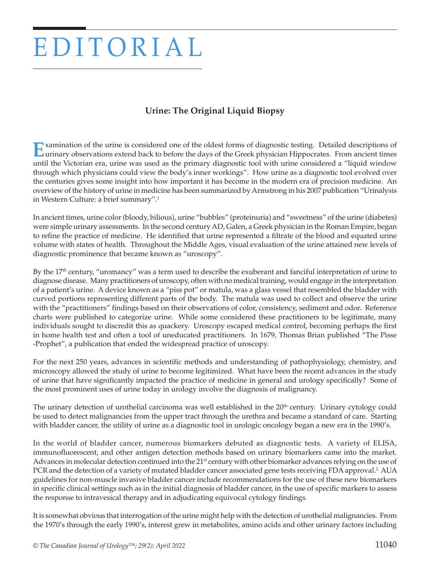## EDITORIAL

## **Urine: The Original Liquid Biopsy**

Examination of the urine is considered one of the oldest forms of diagnostic testing. Detailed descriptions of<br>Lurinary observations extend back to before the days of the Greek physician Hippocrates. From ancient times until the Victorian era, urine was used as the primary diagnostic tool with urine considered a "liquid window through which physicians could view the body's inner workings". How urine as a diagnostic tool evolved over the centuries gives some insight into how important it has become in the modern era of precision medicine. An overview of the history of urine in medicine has been summarized by Armstrong in his 2007 publication "Urinalysis in Western Culture: a brief summary".1

In ancient times, urine color (bloody, bilious), urine "bubbles" (proteinuria) and "sweetness" of the urine (diabetes) were simple urinary assessments. In the second century AD, Galen, a Greek physician in the Roman Empire, began to refine the practice of medicine. He identified that urine represented a filtrate of the blood and equated urine volume with states of health. Throughout the Middle Ages, visual evaluation of the urine attained new levels of diagnostic prominence that became known as "uroscopy".

By the 17<sup>th</sup> century, "uromancy" was a term used to describe the exuberant and fanciful interpretation of urine to diagnose disease. Many practitioners of uroscopy, often with no medical training, would engage in the interpretation of a patient's urine. A device known as a "piss pot" or matula, was a glass vessel that resembled the bladder with curved portions representing different parts of the body. The matula was used to collect and observe the urine with the "practitioners" findings based on their observations of color, consistency, sediment and odor. Reference charts were published to categorize urine. While some considered these practitioners to be legitimate, many individuals sought to discredit this as quackery. Uroscopy escaped medical control, becoming perhaps the first in home health test and often a tool of uneducated practitioners. In 1679, Thomas Brian published "The Pisse -Prophet", a publication that ended the widespread practice of uroscopy.

For the next 250 years, advances in scientific methods and understanding of pathophysiology, chemistry, and microscopy allowed the study of urine to become legitimized. What have been the recent advances in the study of urine that have significantly impacted the practice of medicine in general and urology specifically? Some of the most prominent uses of urine today in urology involve the diagnosis of malignancy.

The urinary detection of urothelial carcinoma was well established in the 20<sup>th</sup> century. Urinary cytology could be used to detect malignancies from the upper tract through the urethra and became a standard of care. Starting with bladder cancer, the utility of urine as a diagnostic tool in urologic oncology began a new era in the 1990's.

In the world of bladder cancer, numerous biomarkers debuted as diagnostic tests. A variety of ELISA, immunofluorescent, and other antigen detection methods based on urinary biomarkers came into the market. Advances in molecular detection continued into the 21<sup>st</sup> century with other biomarker advances relying on the use of PCR and the detection of a variety of mutated bladder cancer associated gene tests receiving FDA approval.2 AUA guidelines for non-muscle invasive bladder cancer include recommendations for the use of these new biomarkers in specific clinical settings such as in the initial diagnosis of bladder cancer, in the use of specific markers to assess the response to intravesical therapy and in adjudicating equivocal cytology findings.

It is somewhat obvious that interrogation of the urine might help with the detection of urothelial malignancies. From the 1970's through the early 1990's, interest grew in metabolites, amino acids and other urinary factors including